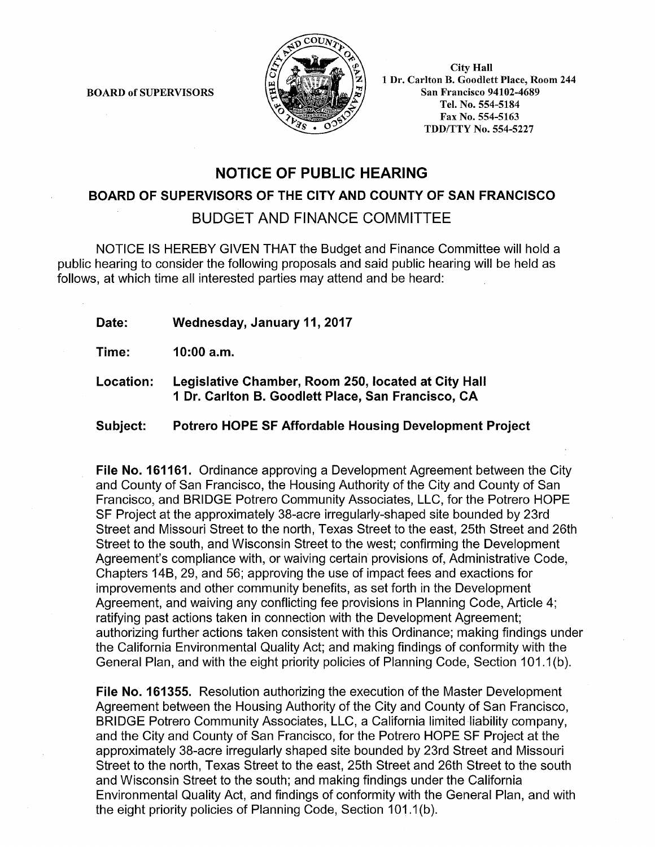BOARD of SUPERVISORS



City Hall 1 Dr. Carlton B. Goodlett Place, Room 244 San Francisco 94102-4689 Tel. No. 554-5184 Fax No. 554-5163 TDD/TTY No. 554-5227

## NOTICE OF PUBLIC HEARING

BOARD OF SUPERVISORS OF THE CITY AND COUNTY OF SAN FRANCISCO

BUDGET AND FINANCE COMMITTEE

NOTICE IS HEREBY GIVEN THAT the Budget and Finance Committee will hold a public hearing to consider the following proposals and said public hearing will be held as follows, at which time all interested parties may attend and be heard:

Date: Wednesday, January 11, 2017

Time: 10:00 a.m.

Location: Legislative Chamber, Room 250, located at City Hall 1 Dr. Carlton B. Goodlett Place, San Francisco, CA

Subject: Potrero HOPE SF Affordable Housing Development Project

File No. 161161. Ordinance approving a Development Agreement between the City and County of San Francisco, the Housing Authority of the City and County of San Francisco, and BRIDGE Potrero Community Associates, LLC, for the Potrero HOPE SF Project at the approximately 38-acre irregularly-shaped site bounded by 23rd Street and Missouri Street to the north, Texas Street to the east, 25th Street and 26th Street to the south, and Wisconsin Street to the west; confirming the Development Agreement's compliance with, or waiving certain provisions of, Administrative Code, Chapters 14B, 29, and 56; approving the use of impact fees and exactions for improvements and other community benefits, as set forth in the Development Agreement, and waiving any conflicting fee provisions in Planning Code, Article 4; ratifying past actions taken in connection with the Development Agreement; authorizing further actions taken consistent with this Ordinance; making findings under the California Environmental Quality Act; and making findings of conformity with the General Plan, and with the eight priority policies of Planning Code, Section 101.1 (b ).

File No. 161355. Resolution authorizing the execution of the Master Development Agreement between the Housing Authority of the City and County of San Francisco, BRIDGE Potrero Community Associates, LLC, a California limited liability company, and the City and County of San Francisco, for the Potrero HOPE SF Project at the approximately 38-acre irregularly shaped site bounded by 23rd Street and Missouri Street to the north, Texas Street to the east, 25th Street and 26th Street to the south and Wisconsin Street to the south; and making findings under the California Environmental Quality Act, and findings of conformity with the General Plan, and with the eight priority policies of Planning Code, Section 101.1(b).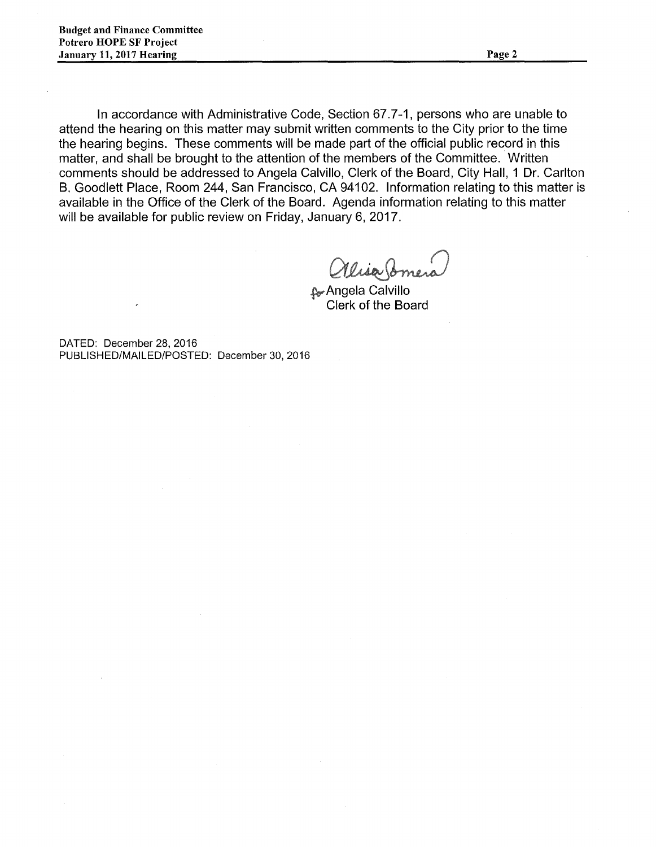In accordance with Administrative Code, Section 67.7-1, persons who are unable to attend the hearing on this matter may submit written comments to the City prior to the time the hearing begins. These comments will be made part of the official public record in this matter, and shall be brought to the attention of the members of the Committee. Written comments should be addressed to Angela Calvillo, Clerk of the Board, City Hall, 1 Dr. Carlton B. Goodlett Place, Room 244, San Francisco, CA 94102. Information relating to this matter is available in the Office of the Clerk of the Board. Agenda information relating to this matter will be available for public review on Friday, January 6, 2017.

llia br

~Angela Calvillo Clerk of the Board

DATED: December 28, 2016 PUBLISHED/MAILED/POSTED: December 30, 2016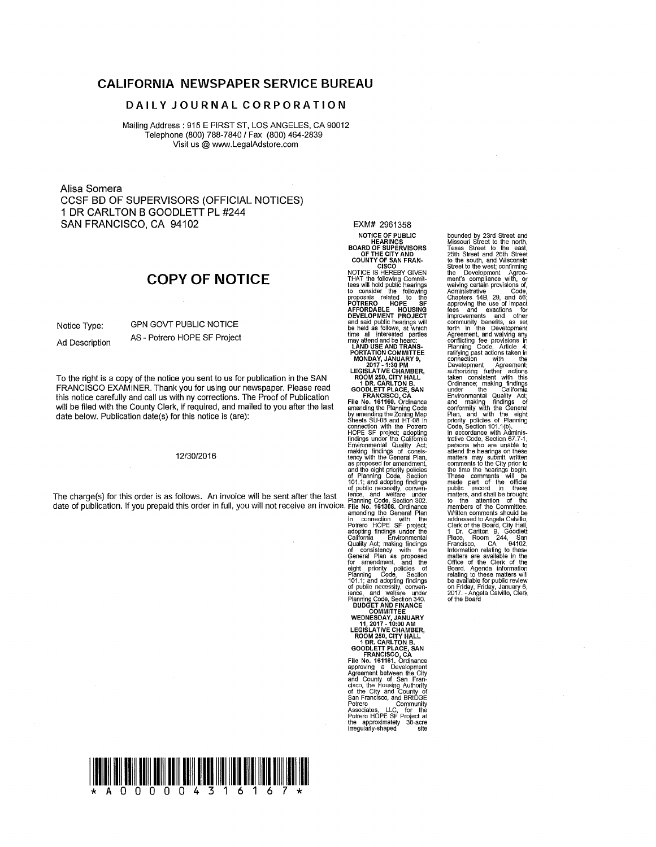### CALIFORNIA NEWSPAPER SERVICE BUREAU

### DAILY JOURNAL CORPORATION

Mailing Address: 915 E FIRST ST, LOS ANGELES, CA 90012 Telephone (800) 788-7840 I Fax (800) 464-2839 Visit us@ www.LegalAdstore.com

Alisa Somera CCSF BD OF SUPERVISORS (OFFICIAL NOTICES)<br>1 DR CARLTON B GOODLETT PL #244 1 DR CARL TON B GOODLETT PL #244 SAN FRANCISCO, CA 94102

## COPY OF NOTICE

Notice Type: GPN GOVT PUBLIC NOTICE Ad Description AS - Potrero HOPE SF Project

To the right is a copy of the notice you sent to us for publication in the SAN FRANCISCO EXAMINER. Thank you for using our newspaper. Please read this notice carefully and call us with ny corrections. The Proof of Publication will be filed with the County Clerk, if required, and mailed to you after the last date below. Publication date(s) for this notice is (are):

#### 12/30/2016

The charge(s) for this order is as follows. An invoice will be sent after the last in ence, and weitare under<br>date of publication. If you prepaid this order in full, you will not receive an invoice. Flie No. 161308, Ordina

EXM# 2961358 NOTICE OF PUBLIC<br>HEARINGS<br>BOARD OF SUPERVISORS<br>OF THE CITY AND<br>COUNTY OF SAN FRAN-<br>CISCO

NOTICE IS HEREBY GIVEN<br>THAT the following Commit-<br>tees will hold public hearings<br>to consider the following POTRERO<br>AFFORDABLE HOUSING<br>DEVELOPMENT PROJECT<br>and said public hearings will<br>be held as follows, at which<br>time all interested parties

may attend and be heard:<br>
LAND USE AND TRANS-<br>
PORTATION COMMITTEE<br>
MONDAY, JANUARY 9,<br>
2017 - 1:30 PM<br>
LEGISLATIVE CHAMBER, ROOM 250, CITY HALL<br>1 DR. CARLTON B.<br>GOODLETT PLACE, SAN

FRANCISCO, CA<br>
File No. 161160, Crdinance<br>
amending the Planning Code<br>
by amending the Zoning Map<br>
Sheets SU-08 and HT-08 in<br>
connection with the Potrer<br>
HOPE SF project; adopting<br>
findings under the California<br>
Environmen making findings of consis-<br>tency with the General Plan,<br>as proposed for amendment,<br>and the eight priority policies<br>of Planning Code, Section<br>101.1; and adopting findings<br>of public necessity, convenamending the General Plan<br>in connection with the<br>Potrero HOPE SF project; adopting findings under the<br>California Environmental<br>Quality Act; making findings<br>of consistency with the for amenament, and the policies of<br>eight priority policies of<br>Planning Code, Section<br>101.1; and adopting findings<br>of public necessity, conven-<br>ince, and welfare under<br>Planning Code, Section 340.<br>**EDUCET AND FINANCE<br>WEDNESD** 

ROOM 250, CITY HALL 1 DR. CARL TON B. GOODLETT PLACE, SAN

FRANCISCO, CA<br>File No. 161161. Ordinance approving a Development<br>Agreement between the City<br>and County of San Fran-<br>cisco, the Housing Authority<br>of the City and County of<br>San Francisco, and BRIDGE<br>Potrero Community Associates, LLC, for the<br>Potrero HOPE SF Project at<br>the approximately 38-acre<br>irregularly-shaped site bounded by 23rd Street and<br>Missouri Street to the north,<br>Texas Street to the east,<br>25th Street and 26th Street<br>to the south, and Wisconsin<br>Street to the west; confirming<br>the Development Agree-<br>waiving certain provisions of Agreement, and waiving any conflicting fee provisions in Planning Code, Article 4; ratifying past actions taken in<br>connection with the<br>Development Agreement; authorizing further actions<br>taken consistent with this<br>under the California<br>Environmental Quality Act;<br>Environmental Quality Act;<br>and making findings of<br>conformity with the General<br>plan, and with the General<br>plan, and with persons who are unable to attend the hearings on these matters may submit written comments to the City prior to the lime the hearings begin. These comments will be made part of the official public record in these matters, and shall be brought to the attention of the members of the Committee. Written comments should be addressed to Angela Calvillo, Clerk of the Board, City Hall, 1 Dr. Carlton B. Goodlett<br>Place, Room 244, San<br>Francisco, CA 94102.<br>Information relating to these<br>matters are available in the<br>Office of the Clerk of the<br>Board. Agenda information relating to these matters will<br>be available for public review<br>on Friday, Friday, January 6,<br>2017. - Angela Calvillo, Clerk<br>of the Board